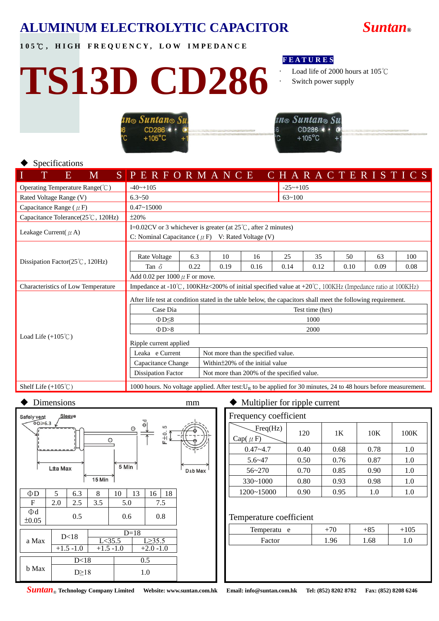## **ALUMINUM ELECTROLYTIC CAPACITOR** *Suntan***®**

**1 0 5** ℃ **, H I G H F R E Q U E N C Y , L O W I M P E D A N C E**

# **TS13D CD286**

## **F E A T U R E S**

- Load life of 2000 hours at 105℃
- Switch power supply

| $\boldsymbol{\mathit{in}_\odot}$ Suntan $_\odot$ Sui |  |
|------------------------------------------------------|--|
| CD286 4                                              |  |
| $+105^{\circ}$ C                                     |  |



## Specifications

| E<br>M                                     | SPERFORMANCE                                                                                                                      |             |                                    |            |            |                 |            |            | CHARACTERISTICS |  |
|--------------------------------------------|-----------------------------------------------------------------------------------------------------------------------------------|-------------|------------------------------------|------------|------------|-----------------|------------|------------|-----------------|--|
| Operating Temperature Range(°C)            | $-40$ ~+105                                                                                                                       |             |                                    |            |            | $-25$ ~+105     |            |            |                 |  |
| Rated Voltage Range (V)                    | $6.3 - 50$                                                                                                                        |             |                                    |            | $63 - 100$ |                 |            |            |                 |  |
| Capacitance Range ( $\mu$ F)               | $0.47 - 15000$                                                                                                                    |             |                                    |            |            |                 |            |            |                 |  |
| Capacitance Tolerance(25°C, 120Hz)         | $\pm 20\%$                                                                                                                        |             |                                    |            |            |                 |            |            |                 |  |
| Leakage Current( $\mu$ A)                  | I=0.02CV or 3 whichever is greater (at $25^{\circ}$ C, after 2 minutes)<br>C: Nominal Capacitance ( $\mu$ F) V: Rated Voltage (V) |             |                                    |            |            |                 |            |            |                 |  |
| Dissipation Factor( $25^{\circ}$ C, 120Hz) | Rate Voltage<br>Tan $\delta$                                                                                                      | 6.3<br>0.22 | 10<br>0.19                         | 16<br>0.16 | 25<br>0.14 | 35<br>0.12      | 50<br>0.10 | 63<br>0.09 | 100<br>0.08     |  |
|                                            | Add 0.02 per 1000 $\mu$ F or move.                                                                                                |             |                                    |            |            |                 |            |            |                 |  |
| Characteristics of Low Temperature         | Impedance at -10°C, 100KHz<200% of initial specified value at +20°C, 100KHz (Impedance ratio at 100KHz)                           |             |                                    |            |            |                 |            |            |                 |  |
|                                            | After life test at condition stated in the table below, the capacitors shall meet the following requirement.                      |             |                                    |            |            |                 |            |            |                 |  |
|                                            | Case Dia                                                                                                                          |             |                                    |            |            | Test time (hrs) |            |            |                 |  |
|                                            | $\Phi$ D $\leq$ 8                                                                                                                 |             |                                    |            |            | 1000            |            |            |                 |  |
|                                            | $\Phi$ D>8                                                                                                                        |             |                                    | 2000       |            |                 |            |            |                 |  |
| Load Life $(+105^{\circ}$ C)               | Ripple current applied                                                                                                            |             |                                    |            |            |                 |            |            |                 |  |
|                                            | Leaka e Current                                                                                                                   |             | Not more than the specified value. |            |            |                 |            |            |                 |  |
|                                            | Capacitance Change<br>Within ± 20% of the initial value                                                                           |             |                                    |            |            |                 |            |            |                 |  |
|                                            | <b>Dissipation Factor</b><br>Not more than 200% of the specified value.                                                           |             |                                    |            |            |                 |            |            |                 |  |
| Shelf Life $(+105^{\circ}$ C)              | 1000 hours. No voltage applied. After test: $U_R$ to be applied for 30 minutes, 24 to 48 hours before measurement.                |             |                                    |            |            |                 |            |            |                 |  |



| Frequency coefficient    |      |      |      |      |  |  |  |  |
|--------------------------|------|------|------|------|--|--|--|--|
| Freq(Hz)<br>$Cap(\mu F)$ | 120  | 1K   | 10K  | 100K |  |  |  |  |
| $0.47 - 4.7$             | 0.40 | 0.68 | 0.78 | 1.0  |  |  |  |  |
| $5.6 - 47$               | 0.50 | 0.76 | 0.87 | 1.0  |  |  |  |  |
| $56 - 270$               | 0.70 | 0.85 | 0.90 | 1.0  |  |  |  |  |
| $330 - 1000$             | 0.80 | 0.93 | 0.98 | 1.0  |  |  |  |  |
| 1200~15000               | 0.90 | 0.95 | 1.0  | 1.0  |  |  |  |  |

### Temperature coefficient

| Temperatu<br>e | ت ن        | $\Omega$ |
|----------------|------------|----------|
| Factor         | 69<br>1.00 |          |